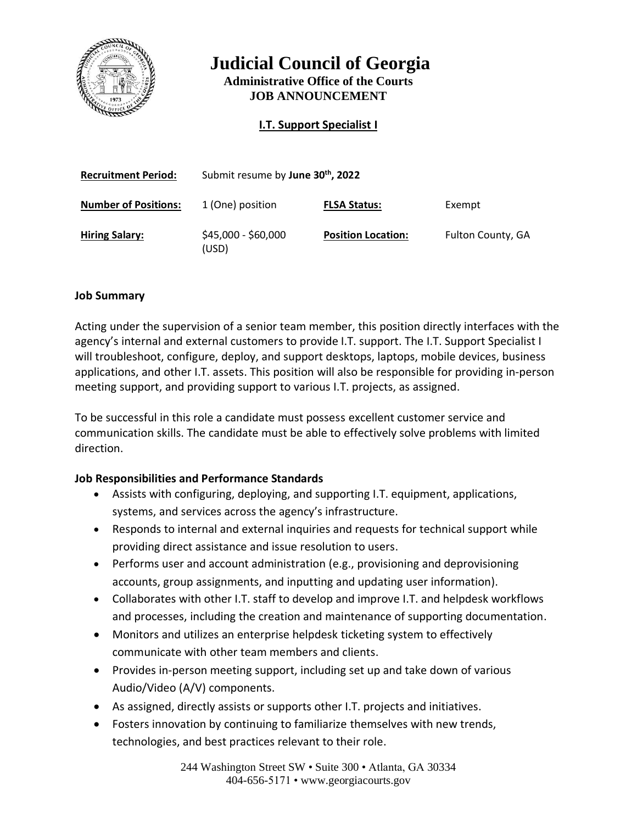

**Judicial Council of Georgia**

**Administrative Office of the Courts JOB ANNOUNCEMENT**

**I.T. Support Specialist I**

| <b>Recruitment Period:</b>  | Submit resume by June 30th, 2022 |                           |                   |
|-----------------------------|----------------------------------|---------------------------|-------------------|
| <b>Number of Positions:</b> | 1 (One) position                 | <b>FLSA Status:</b>       | Exempt            |
| <b>Hiring Salary:</b>       | \$45,000 - \$60,000<br>(USD)     | <b>Position Location:</b> | Fulton County, GA |

## **Job Summary**

Acting under the supervision of a senior team member, this position directly interfaces with the agency's internal and external customers to provide I.T. support. The I.T. Support Specialist I will troubleshoot, configure, deploy, and support desktops, laptops, mobile devices, business applications, and other I.T. assets. This position will also be responsible for providing in-person meeting support, and providing support to various I.T. projects, as assigned.

To be successful in this role a candidate must possess excellent customer service and communication skills. The candidate must be able to effectively solve problems with limited direction.

# **Job Responsibilities and Performance Standards**

- Assists with configuring, deploying, and supporting I.T. equipment, applications, systems, and services across the agency's infrastructure.
- Responds to internal and external inquiries and requests for technical support while providing direct assistance and issue resolution to users.
- Performs user and account administration (e.g., provisioning and deprovisioning accounts, group assignments, and inputting and updating user information).
- Collaborates with other I.T. staff to develop and improve I.T. and helpdesk workflows and processes, including the creation and maintenance of supporting documentation.
- Monitors and utilizes an enterprise helpdesk ticketing system to effectively communicate with other team members and clients.
- Provides in-person meeting support, including set up and take down of various Audio/Video (A/V) components.
- As assigned, directly assists or supports other I.T. projects and initiatives.
- Fosters innovation by continuing to familiarize themselves with new trends, technologies, and best practices relevant to their role.